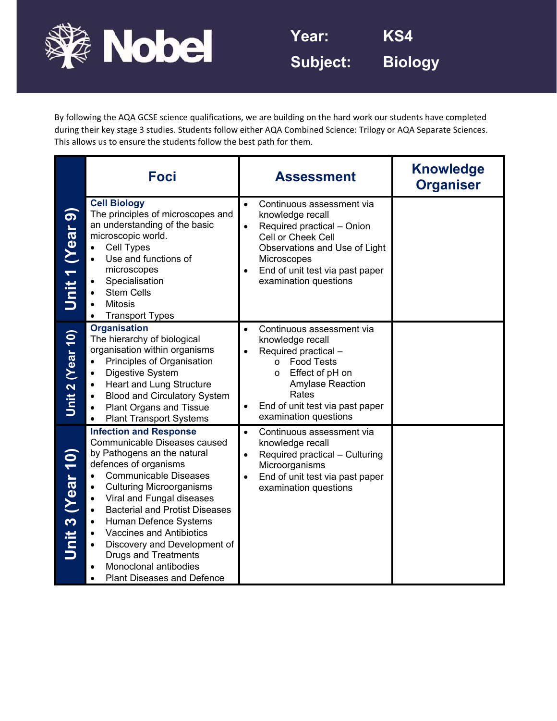

By following the AQA GCSE science qualifications, we are building on the hard work our students have completed during their key stage 3 studies. Students follow either AQA Combined Science: Trilogy or AQA Separate Sciences. This allows us to ensure the students follow the best path for them.

|                      | Foci                                                                                                                                                                                                                                                                                                                                                                                                                                                                                                                     | <b>Assessment</b>                                                                                                                                                                                                                         | <b>Knowledge</b><br><b>Organiser</b> |
|----------------------|--------------------------------------------------------------------------------------------------------------------------------------------------------------------------------------------------------------------------------------------------------------------------------------------------------------------------------------------------------------------------------------------------------------------------------------------------------------------------------------------------------------------------|-------------------------------------------------------------------------------------------------------------------------------------------------------------------------------------------------------------------------------------------|--------------------------------------|
| (Year 9)<br>Unit $1$ | <b>Cell Biology</b><br>The principles of microscopes and<br>an understanding of the basic<br>microscopic world.<br>Cell Types<br>$\bullet$<br>Use and functions of<br>microscopes<br>Specialisation<br><b>Stem Cells</b><br><b>Mitosis</b><br><b>Transport Types</b>                                                                                                                                                                                                                                                     | Continuous assessment via<br>$\bullet$<br>knowledge recall<br>Required practical - Onion<br>Cell or Cheek Cell<br>Observations and Use of Light<br>Microscopes<br>End of unit test via past paper<br>examination questions                |                                      |
| Unit 2 (Year 10)     | <b>Organisation</b><br>The hierarchy of biological<br>organisation within organisms<br>Principles of Organisation<br>$\bullet$<br>Digestive System<br>$\bullet$<br>Heart and Lung Structure<br>$\bullet$<br><b>Blood and Circulatory System</b><br><b>Plant Organs and Tissue</b><br><b>Plant Transport Systems</b>                                                                                                                                                                                                      | Continuous assessment via<br>$\bullet$<br>knowledge recall<br>Required practical -<br><b>Food Tests</b><br>$\circ$<br>Effect of pH on<br>$\circ$<br>Amylase Reaction<br>Rates<br>End of unit test via past paper<br>examination questions |                                      |
| Unit 3 (Year 10)     | <b>Infection and Response</b><br>Communicable Diseases caused<br>by Pathogens an the natural<br>defences of organisms<br><b>Communicable Diseases</b><br>$\bullet$<br><b>Culturing Microorganisms</b><br>$\bullet$<br>Viral and Fungal diseases<br>$\bullet$<br><b>Bacterial and Protist Diseases</b><br>$\bullet$<br>Human Defence Systems<br>$\bullet$<br><b>Vaccines and Antibiotics</b><br>Discovery and Development of<br><b>Drugs and Treatments</b><br>Monoclonal antibodies<br><b>Plant Diseases and Defence</b> | Continuous assessment via<br>$\bullet$<br>knowledge recall<br>Required practical - Culturing<br>Microorganisms<br>End of unit test via past paper<br>examination questions                                                                |                                      |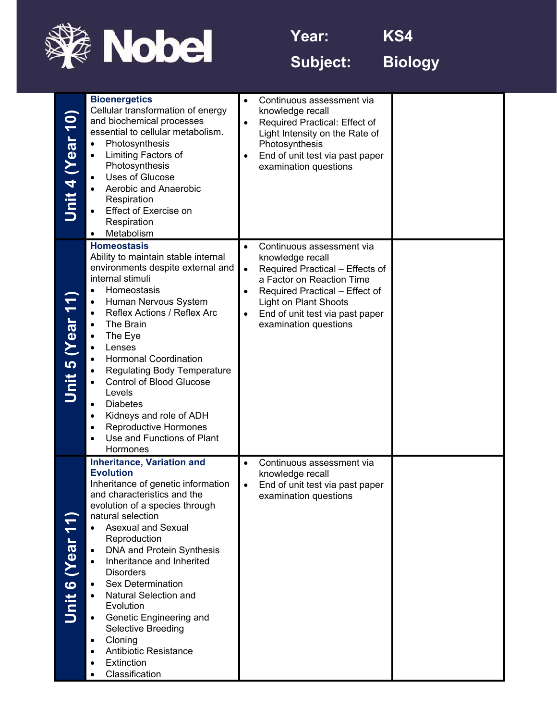

**Year: KS4** 

**Subject: Biology** 

| Unit 4 (Year 10) | <b>Bioenergetics</b><br>Cellular transformation of energy<br>and biochemical processes<br>essential to cellular metabolism.<br>Photosynthesis<br>Limiting Factors of<br>Photosynthesis<br>Uses of Glucose<br>۰<br>Aerobic and Anaerobic<br>Respiration<br>Effect of Exercise on<br>Respiration<br>Metabolism<br>$\bullet$                                                                                                                                                                                                                                                                                 | Continuous assessment via<br>$\bullet$<br>knowledge recall<br>Required Practical: Effect of<br>$\bullet$<br>Light Intensity on the Rate of<br>Photosynthesis<br>End of unit test via past paper<br>$\bullet$<br>examination questions                                                           |  |
|------------------|-----------------------------------------------------------------------------------------------------------------------------------------------------------------------------------------------------------------------------------------------------------------------------------------------------------------------------------------------------------------------------------------------------------------------------------------------------------------------------------------------------------------------------------------------------------------------------------------------------------|-------------------------------------------------------------------------------------------------------------------------------------------------------------------------------------------------------------------------------------------------------------------------------------------------|--|
| Unit 5 (Year 11  | <b>Homeostasis</b><br>Ability to maintain stable internal<br>environments despite external and<br>internal stimuli<br>Homeostasis<br>Human Nervous System<br>۰<br>Reflex Actions / Reflex Arc<br>$\bullet$<br>The Brain<br>The Eye<br>Lenses<br>٠<br><b>Hormonal Coordination</b><br><b>Regulating Body Temperature</b><br><b>Control of Blood Glucose</b><br>Levels<br><b>Diabetes</b><br>$\bullet$<br>Kidneys and role of ADH<br>٠<br><b>Reproductive Hormones</b><br>Use and Functions of Plant<br>$\bullet$<br>Hormones                                                                               | Continuous assessment via<br>$\bullet$<br>knowledge recall<br>Required Practical - Effects of<br>$\bullet$<br>a Factor on Reaction Time<br>Required Practical - Effect of<br>$\bullet$<br><b>Light on Plant Shoots</b><br>End of unit test via past paper<br>$\bullet$<br>examination questions |  |
| Jnit 6 (Year 11  | <b>Inheritance, Variation and</b><br><b>Evolution</b><br>Inheritance of genetic information<br>and characteristics and the<br>evolution of a species through<br>natural selection<br><b>Asexual and Sexual</b><br>$\bullet$<br>Reproduction<br>DNA and Protein Synthesis<br>$\bullet$<br>Inheritance and Inherited<br>$\bullet$<br><b>Disorders</b><br><b>Sex Determination</b><br>$\bullet$<br><b>Natural Selection and</b><br>$\bullet$<br>Evolution<br>Genetic Engineering and<br>$\bullet$<br>Selective Breeding<br>Cloning<br>٠<br><b>Antibiotic Resistance</b><br>٠<br>Extinction<br>Classification | Continuous assessment via<br>$\bullet$<br>knowledge recall<br>End of unit test via past paper<br>$\bullet$<br>examination questions                                                                                                                                                             |  |